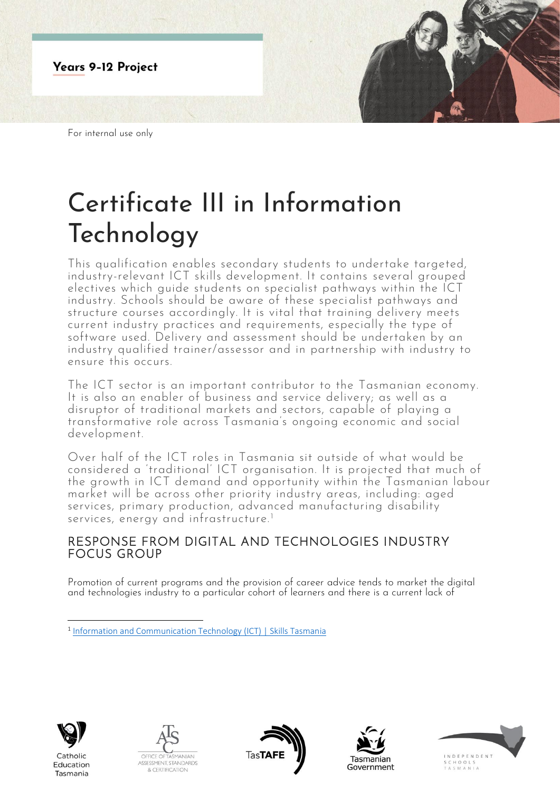

# Certificate III in Information Technology

This qualification enables secondary students to undertake targeted, industry-relevant ICT skills development. It contains several grouped electives which guide students on specialist pathways within the ICT industry. Schools should be aware of these specialist pathways and structure courses accordingly. It is vital that training delivery meets current industry practices and requirements, especially the type of software used. Delivery and assessment should be undertaken by an industry qualified trainer/assessor and in partnership with industry to ensure this occurs.

The ICT sector is an important contributor to the Tasmanian economy. It is also an enabler of business and service delivery; as well as a disruptor of traditional markets and sectors, capable of playing a transformative role across Tasmania's ongoing economic and social development.

Over half of the ICT roles in Tasmania sit outside of what would be considered a 'traditional' ICT organisation. It is projected that much of the growth in ICT demand and opportunity within the Tasmanian labour market will be across other priority industry areas, including: aged services, primary production, advanced manufacturing disability services, energy and infrastructure.<sup>1</sup>

## RESPONSE FROM DIGITAL AND TECHNOLOGIES INDUSTRY FOCUS GROUP

Promotion of current programs and the provision of career advice tends to market the digital and technologies industry to a particular cohort of learners and there is a current lack of



Catholic Education Tasmania









<sup>&</sup>lt;sup>1</sup> [Information and Communication Technology \(ICT\) | Skills Tasmania](https://www.skills.tas.gov.au/about/the_tasmanian_workforce/industry_information_and_profiles/ict_fact_sheet)